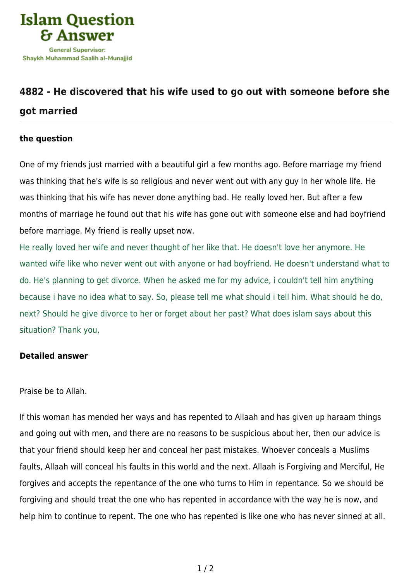

## **[4882 - He discovered that his wife used to go out with someone before she](https://islamqa.com/en/answers/4882/he-discovered-that-his-wife-used-to-go-out-with-someone-before-she-got-married) [got married](https://islamqa.com/en/answers/4882/he-discovered-that-his-wife-used-to-go-out-with-someone-before-she-got-married)**

## **the question**

One of my friends just married with a beautiful girl a few months ago. Before marriage my friend was thinking that he's wife is so religious and never went out with any guy in her whole life. He was thinking that his wife has never done anything bad. He really loved her. But after a few months of marriage he found out that his wife has gone out with someone else and had boyfriend before marriage. My friend is really upset now.

He really loved her wife and never thought of her like that. He doesn't love her anymore. He wanted wife like who never went out with anyone or had boyfriend. He doesn't understand what to do. He's planning to get divorce. When he asked me for my advice, i couldn't tell him anything because i have no idea what to say. So, please tell me what should i tell him. What should he do, next? Should he give divorce to her or forget about her past? What does islam says about this situation? Thank you,

## **Detailed answer**

Praise be to Allah.

If this woman has mended her ways and has repented to Allaah and has given up haraam things and going out with men, and there are no reasons to be suspicious about her, then our advice is that your friend should keep her and conceal her past mistakes. Whoever conceals a Muslims faults, Allaah will conceal his faults in this world and the next. Allaah is Forgiving and Merciful, He forgives and accepts the repentance of the one who turns to Him in repentance. So we should be forgiving and should treat the one who has repented in accordance with the way he is now, and help him to continue to repent. The one who has repented is like one who has never sinned at all.